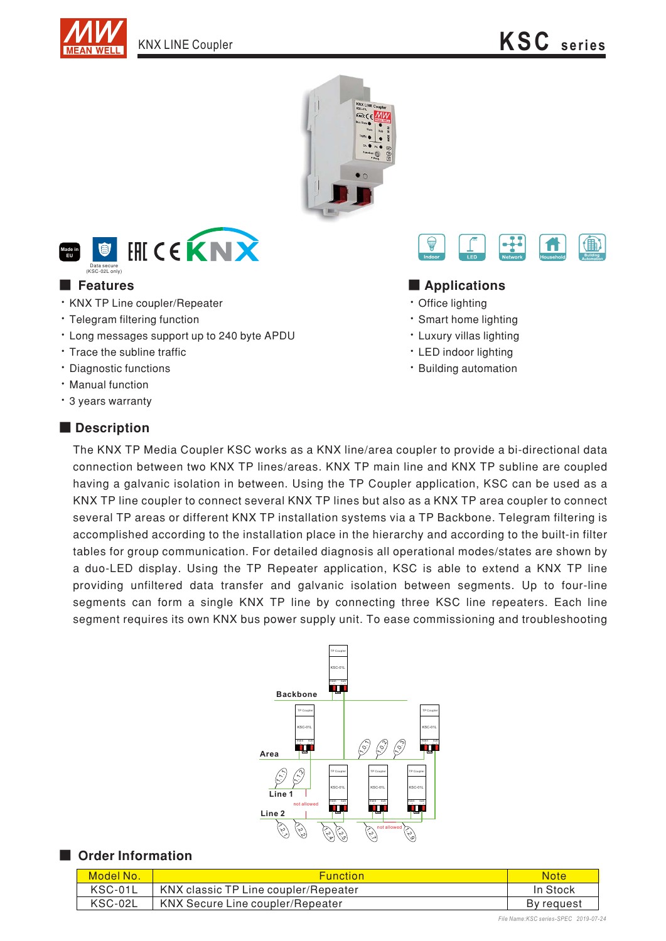





- · KNX TP Line coupler/Repeater
- · Telegram filtering function
- Long messages support up to 240 byte APDU
- Trace the subline traffic
- · Diagnostic functions
- · Manual function
- · 3 years warranty

### ■ **Description**



#### ■ Features ■ **Applications**

- Office lighting
- Smart home lighting
- Luxury villas lighting
- LED indoor lighting
- Building automation

The KNX TP Media Coupler KSC works as a KNX line/area coupler to provide a bi-directional data connection between two KNX TP lines/areas. KNX TP main line and KNX TP subline are coupled having a galvanic isolation in between. Using the TP Coupler application, KSC can be used as a KNX TP line coupler to connect several KNX TP lines but also as a KNX TP area coupler to connect several TP areas or different KNX TP installation systems via a TP Backbone. Telegram filtering is accomplished according to the installation place in the hierarchy and according to the built-in filter tables for group communication. For detailed diagnosis all operational modes/states are shown by a duo-LED display. Using the TP Repeater application, KSC is able to extend a KNX TP line providing unfiltered data transfer and galvanic isolation between segments. Up to four-line segments can form a single KNX TP line by connecting three KSC line repeaters. Each line segment requires its own KNX bus power supply unit. To ease commissioning and troubleshooting



#### ■ Order Information

| Model No. | <b>Function</b>                      | Notel      |
|-----------|--------------------------------------|------------|
| KSC-01L   | KNX classic TP Line coupler/Repeater | In Stock   |
| KSC-02L   | KNX Secure Line coupler/Repeater     | By request |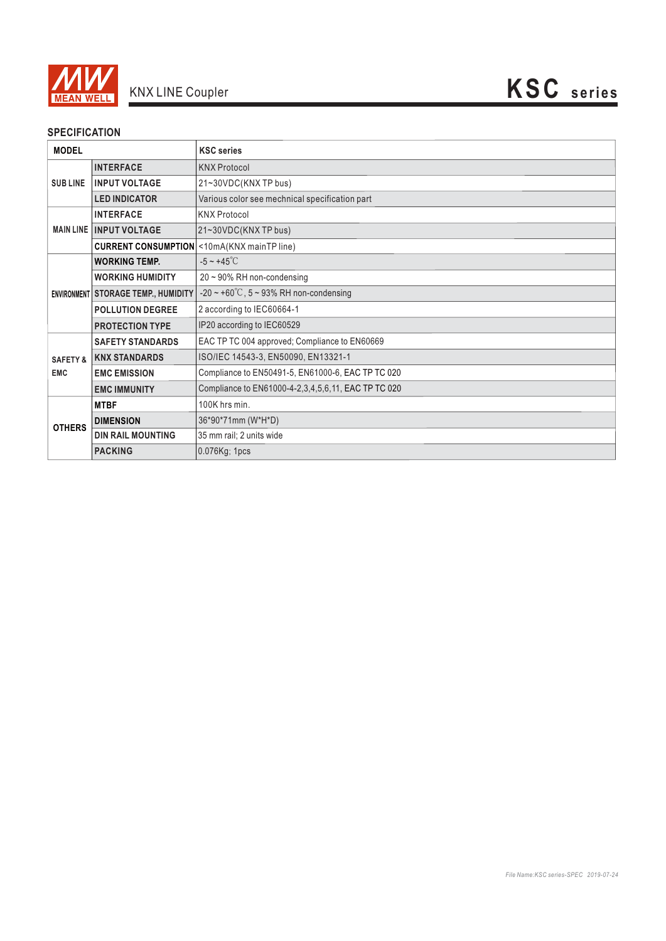

## **SPECIFICATION**

| <b>MODEL</b>                      |                                     | <b>KSC</b> series                                   |
|-----------------------------------|-------------------------------------|-----------------------------------------------------|
| <b>SUBLINE</b>                    | <b>INTERFACE</b>                    | <b>KNX Protocol</b>                                 |
|                                   | <b>INPUT VOLTAGE</b>                | 21~30VDC(KNXTP bus)                                 |
|                                   | <b>LED INDICATOR</b>                | Various color see mechnical specification part      |
| <b>MAIN LINE</b>                  | <b>INTERFACE</b>                    | <b>KNX Protocol</b>                                 |
|                                   | <b>INPUT VOLTAGE</b>                | 21~30VDC(KNX TP bus)                                |
|                                   |                                     | <b>CURRENT CONSUMPTION</b> < 10mA(KNX mainTP line)  |
|                                   | <b>WORKING TEMP.</b>                | $-5 \sim +45^{\circ}$ C                             |
|                                   | <b>WORKING HUMIDITY</b>             | $20 \sim 90\%$ RH non-condensing                    |
|                                   | ENVIRONMENT STORAGE TEMP., HUMIDITY | $-20 \sim +60^{\circ}$ C, 5 ~ 93% RH non-condensing |
|                                   | <b>POLLUTION DEGREE</b>             | 2 according to IEC60664-1                           |
|                                   | <b>PROTECTION TYPE</b>              | IP20 according to IEC60529                          |
| <b>SAFETY &amp;</b><br><b>EMC</b> | <b>SAFETY STANDARDS</b>             | EAC TP TC 004 approved; Compliance to EN60669       |
|                                   | <b>KNX STANDARDS</b>                | ISO/IEC 14543-3, EN50090, EN13321-1                 |
|                                   | <b>EMC EMISSION</b>                 | Compliance to EN50491-5, EN61000-6, EAC TP TC 020   |
|                                   | <b>EMC IMMUNITY</b>                 | Compliance to EN61000-4-2,3,4,5,6,11, EAC TP TC 020 |
| <b>OTHERS</b>                     | <b>MTBF</b>                         | 100K hrs min.                                       |
|                                   | <b>DIMENSION</b>                    | 36*90*71mm (W*H*D)                                  |
|                                   | <b>DIN RAIL MOUNTING</b>            | 35 mm rail; 2 units wide                            |
|                                   | <b>PACKING</b>                      | 0.076Kg; 1pcs                                       |